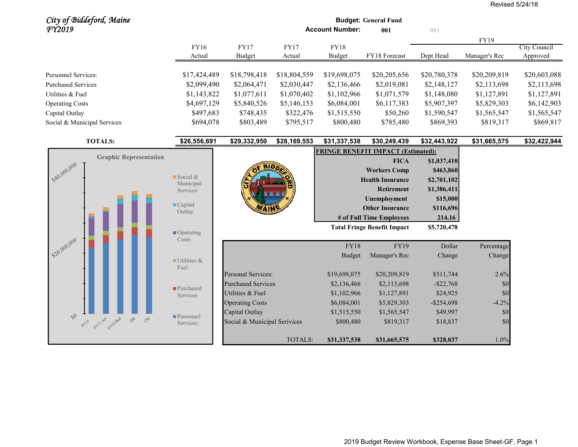Revised 5/24/18

| City of Biddeford, Maine             |                                   |                              |              |                        | <b>Budget: General Fund</b>               |               |               |              |
|--------------------------------------|-----------------------------------|------------------------------|--------------|------------------------|-------------------------------------------|---------------|---------------|--------------|
| FY2019                               |                                   |                              |              | <b>Account Number:</b> | 001                                       | 001           |               |              |
|                                      |                                   |                              |              |                        |                                           |               | FY19          |              |
|                                      | FY16                              | <b>FY17</b>                  | <b>FY17</b>  | <b>FY18</b>            |                                           |               |               | City Council |
|                                      | Actual                            | <b>Budget</b>                | Actual       | <b>Budget</b>          | FY18 Forecast                             | Dept Head     | Manager's Rec | Approved     |
| Personnel Services:                  | \$17,424,489                      | \$18,798,418                 | \$18,804,559 | \$19,698,075           | \$20,205,656                              | \$20,780,378  | \$20,209,819  | \$20,603,088 |
| <b>Purchased Services</b>            | \$2,099,490                       | \$2,064,471                  | \$2,030,447  | \$2,136,466            | \$2,019,081                               | \$2,148,127   | \$2,113,698   | \$2,113,698  |
| Utilities & Fuel                     | \$1,143,822                       | \$1,077,611                  | \$1,070,402  | \$1,102,966            | \$1,071,579                               | \$1,148,080   | \$1,127,891   | \$1,127,891  |
| <b>Operating Costs</b>               | \$4,697,129                       | \$5,840,526                  | \$5,146,153  | \$6,084,001            | \$6,117,383                               | \$5,907,397   | \$5,829,303   | \$6,142,903  |
| Capital Outlay                       | \$497,683                         | \$748,435                    | \$322,476    | \$1,515,550            | \$50,260                                  | \$1,590,547   | \$1,565,547   | \$1,565,547  |
| Social & Municipal Services          | \$694,078                         | \$803,489                    | \$795,517    | \$800,480              | \$785,480                                 | \$869,393     | \$819,317     | \$869,817    |
| <b>TOTALS:</b>                       | \$26,556,691                      | \$29,332,950                 | \$28,169,553 | \$31,337,538           | \$30,249,439                              | \$32,443,922  | \$31,665,575  | \$32,422,944 |
|                                      |                                   |                              |              |                        | <b>FRINGE BENEFIT IMPACT (Estimated):</b> |               |               |              |
| <b>Graphic Representation</b>        |                                   |                              |              |                        | <b>FICA</b>                               | \$1,037,410   |               |              |
| <b>SA0,000,000</b>                   |                                   |                              |              |                        | <b>Workers Comp</b>                       | \$463,860     |               |              |
|                                      | $\blacksquare$ Social &           |                              |              |                        | <b>Health Insurance</b>                   | \$2,701,102   |               |              |
|                                      | Municipal<br>Services             |                              |              |                        | <b>Retirement</b>                         | \$1,386,411   |               |              |
|                                      |                                   |                              |              |                        | Unemployment                              | \$15,000      |               |              |
|                                      | $\blacksquare$ Capital<br>Outlay  |                              |              |                        | <b>Other Insurance</b>                    | \$116,696     |               |              |
|                                      |                                   |                              |              |                        | # of Full Time Employees                  | 214.16        |               |              |
|                                      |                                   |                              |              |                        | <b>Total Fringe Benefit Impact</b>        | \$5,720,478   |               |              |
|                                      | $\blacksquare$ Operating<br>Costs |                              |              |                        |                                           |               |               |              |
| \$20,000,000                         |                                   |                              |              | <b>FY18</b>            | <b>FY19</b>                               | Dollar        | Percentage    |              |
|                                      | $\blacksquare$ Utilities &        |                              |              | <b>Budget</b>          | Manager's Rec                             | Change        | Change        |              |
|                                      | Fuel                              |                              |              |                        |                                           |               |               |              |
|                                      |                                   | <b>Personal Services:</b>    |              | \$19,698,075           | \$20,209,819                              | \$511,744     | 2.6%          |              |
|                                      | ■ Purchased                       | <b>Purchased Services</b>    |              | \$2,136,466            | \$2,113,698                               | $-$ \$22,768  | \$0           |              |
|                                      | Services                          | Utilities & Fuel             |              | \$1,102,966            | \$1,127,891                               | \$24,925      | \$0           |              |
|                                      |                                   | <b>Operating Costs</b>       |              | \$6,084,001            | \$5,829,303                               | $-$ \$254,698 | $-4.2%$       |              |
| G<br>DH<br>$\mathbb{C}^{\mathbb{A}}$ | <b>Personnel</b>                  | Capital Outlay               |              | \$1,515,550            | \$1,565,547                               | \$49,997      | \$0           |              |
| FY'T AOS<br>FY 18 Bud                | Services:                         | Social & Municipal Serivices |              | \$800,480              | \$819,317                                 | \$18,837      | \$0           |              |
|                                      |                                   |                              | TOTALS:      | \$31,337,538           | \$31,665,575                              | \$328,037     | 1.0%          |              |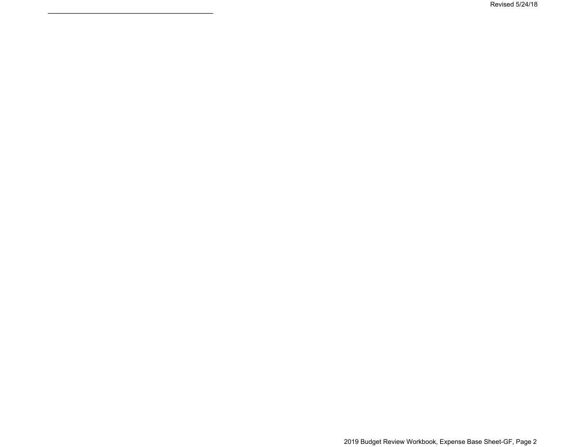Revised 5/24/18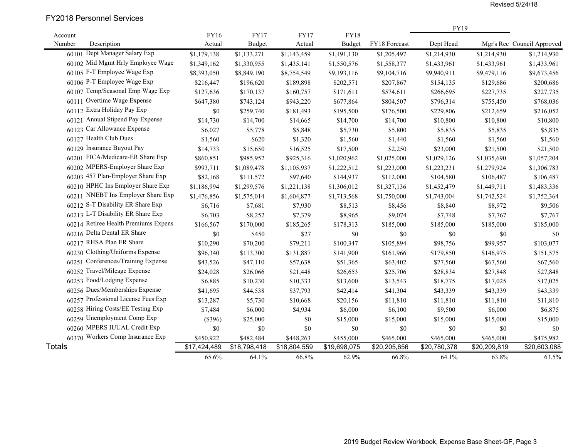### FY2018 Personnel Services

|                   |                                      |                |                              |                       |                              |               | FY19         |              |                            |
|-------------------|--------------------------------------|----------------|------------------------------|-----------------------|------------------------------|---------------|--------------|--------------|----------------------------|
| Account<br>Number | Description                          | FY16<br>Actual | <b>FY17</b><br><b>Budget</b> | <b>FY17</b><br>Actual | <b>FY18</b><br><b>Budget</b> | FY18 Forecast | Dept Head    |              | Mgr's Rec Council Approved |
| 60101             | Dept Manager Salary Exp              |                |                              |                       |                              |               |              |              |                            |
|                   | 60102 Mid Mgmt Hrly Employee Wage    | \$1,179,138    | \$1,133,271                  | \$1,143,459           | \$1,191,130                  | \$1,205,497   | \$1,214,930  | \$1,214,930  | \$1,214,930                |
|                   | 60105 F-T Employee Wage Exp          | \$1,349,162    | \$1,330,955                  | \$1,435,141           | \$1,550,576                  | \$1,558,377   | \$1,433,961  | \$1,433,961  | \$1,433,961                |
|                   | 60106 P-T Employee Wage Exp          | \$8,393,050    | \$8,849,190                  | \$8,754,549           | \$9,193,116                  | \$9,104,716   | \$9,940,911  | \$9,479,116  | \$9,673,456                |
|                   | 60107 Temp/Seasonal Emp Wage Exp     | \$216,447      | \$196,620                    | \$189,898             | \$202,571                    | \$207,867     | \$154,135    | \$129,686    | \$200,686                  |
|                   |                                      | \$127,636      | \$170,137                    | \$160,757             | \$171,611                    | \$574,611     | \$266,695    | \$227,735    | \$227,735                  |
| 60111             | Overtime Wage Expense                | \$647,380      | \$743,124                    | \$943,220             | \$677,864                    | \$804,507     | \$796,314    | \$755,450    | \$768,036                  |
|                   | 60112 Extra Holiday Pay Exp          | \$0            | \$259,740                    | \$181,493             | \$195,500                    | \$176,500     | \$229,806    | \$212,659    | \$216,052                  |
|                   | 60121 Annual Stipend Pay Expense     | \$14,730       | \$14,700                     | \$14,665              | \$14,700                     | \$14,700      | \$10,800     | \$10,800     | \$10,800                   |
|                   | 60123 Car Allowance Expense          | \$6,027        | \$5,778                      | \$5,848               | \$5,730                      | \$5,800       | \$5,835      | \$5,835      | \$5,835                    |
|                   | 60127 Health Club Dues               | \$1,560        | \$620                        | \$1,320               | \$1,560                      | \$1,440       | \$1,560      | \$1,560      | \$1,560                    |
|                   | 60129 Insurance Buyout Pay           | \$14,733       | \$15,650                     | \$16,525              | \$17,500                     | \$2,250       | \$23,000     | \$21,500     | \$21,500                   |
|                   | 60201 FICA/Medicare-ER Share Exp     | \$860,851      | \$985,952                    | \$925,316             | \$1,020,962                  | \$1,025,000   | \$1,029,126  | \$1,035,690  | \$1,057,204                |
|                   | 60202 MPERS-Employer Share Exp       | \$993,711      | \$1,089,478                  | \$1,105,937           | \$1,222,512                  | \$1,223,000   | \$1,223,231  | \$1,279,924  | \$1,306,783                |
|                   | 60203 457 Plan-Employer Share Exp    | \$82,168       | \$111,572                    | \$97,640              | \$144,937                    | \$112,000     | \$104,580    | \$106,487    | \$106,487                  |
|                   | 60210 HPHC Ins Employer Share Exp    | \$1,186,994    | \$1,299,576                  | \$1,221,138           | \$1,306,012                  | \$1,327,136   | \$1,452,479  | \$1,449,711  | \$1,483,336                |
|                   | 60211 NNEBT Ins Employer Share Exp   | \$1,476,856    | \$1,575,014                  | \$1,604,877           | \$1,713,568                  | \$1,750,000   | \$1,743,004  | \$1,742,524  | \$1,752,364                |
|                   | 60212 S-T Disability ER Share Exp    | \$6,716        | \$7,681                      | \$7,930               | \$8,513                      | \$8,456       | \$8,840      | \$8,972      | \$9,506                    |
|                   | 60213 L-T Disability ER Share Exp    | \$6,703        | \$8,252                      | \$7,379               | \$8,965                      | \$9,074       | \$7,748      | \$7,767      | \$7,767                    |
|                   | 60214 Retiree Health Premiums Expens | \$166,567      | \$170,000                    | \$185,265             | \$178,313                    | \$185,000     | \$185,000    | \$185,000    | \$185,000                  |
|                   | 60216 Delta Dental ER Share          | \$0            | \$450                        | \$27                  | \$0                          | $\$0$         | $\$0$        | $\$0$        | \$0                        |
|                   | 60217 RHSA Plan ER Share             | \$10,290       | \$70,200                     | \$79,211              | \$100,347                    | \$105,894     | \$98,756     | \$99,957     | \$103,077                  |
|                   | 60230 Clothing/Uniforms Expense      | \$96,340       | \$113,300                    | \$131,887             | \$141,900                    | \$161,966     | \$179,850    | \$146,975    | \$151,575                  |
|                   | 60251 Conferences/Training Expense   | \$43,526       | \$47,110                     | \$57,638              | \$51,365                     | \$63,402      | \$77,560     | \$67,560     | \$67,560                   |
|                   | 60252 Travel/Mileage Expense         | \$24,028       | \$26,066                     | \$21,448              | \$26,653                     | \$25,706      | \$28,834     | \$27,848     | \$27,848                   |
|                   | 60253 Food/Lodging Expense           | \$6,885        | \$10,230                     | \$10,333              | \$13,600                     | \$13,543      | \$18,775     | \$17,025     | \$17,025                   |
|                   | 60256 Dues/Memberships Expense       | \$41,695       | \$44,538                     | \$37,793              | \$42,414                     | \$41,304      | \$43,339     | \$43,339     | \$43,339                   |
|                   | 60257 Professional License Fees Exp  | \$13,287       | \$5,730                      | \$10,668              | \$20,156                     | \$11,810      | \$11,810     | \$11,810     | \$11,810                   |
|                   | 60258 Hiring Costs/EE Testing Exp    | \$7,484        | \$6,000                      | \$4,934               | \$6,000                      | \$6,100       | \$9,500      | \$6,000      | \$6,875                    |
|                   | 60259 Unemployment Comp Exp          | (\$396)        | \$25,000                     | \$0                   | \$15,000                     | \$15,000      | \$15,000     | \$15,000     | \$15,000                   |
|                   | 60260 MPERS IUUAL Credit Exp         | \$0            | $\$0$                        | \$0                   | \$0                          | \$0           | $\$0$        | \$0          | \$0                        |
|                   | 60370 Workers Comp Insurance Exp     | \$450,922      | \$482,484                    | \$448,263             | \$455,000                    | \$465,000     | \$465,000    | \$465,000    | \$475,982                  |
| <b>Totals</b>     |                                      | \$17,424,489   | \$18,798,418                 | \$18,804,559          | \$19,698,075                 | \$20,205,656  | \$20,780,378 | \$20,209,819 | \$20,603,088               |
|                   |                                      | 65.6%          | 64.1%                        | 66.8%                 | 62.9%                        | 66.8%         | 64.1%        | 63.8%        | 63.5%                      |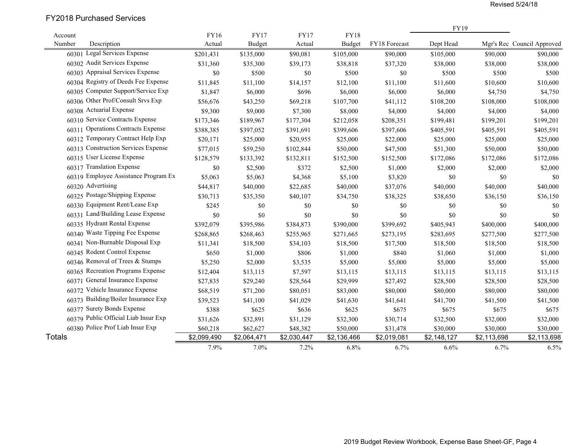### FY2018 Purchased Services

|                                      |                       |                       |                |                       |               | FY19        |             |                            |
|--------------------------------------|-----------------------|-----------------------|----------------|-----------------------|---------------|-------------|-------------|----------------------------|
| Account<br>Number<br>Description     | <b>FY16</b><br>Actual | <b>FY17</b><br>Budget | FY17<br>Actual | <b>FY18</b><br>Budget | FY18 Forecast | Dept Head   |             | Mgr's Rec Council Approved |
| 60301 Legal Services Expense         | \$201,431             | \$135,000             | \$90,081       | \$105,000             | \$90,000      | \$105,000   | \$90,000    | \$90,000                   |
| 60302 Audit Services Expense         | \$31,360              | \$35,300              | \$39,173       | \$38,818              | \$37,320      | \$38,000    | \$38,000    | \$38,000                   |
| 60303 Appraisal Services Expense     | \$0                   | \$500                 | \$0            | \$500                 | \$0           | \$500       | \$500       | \$500                      |
| 60304 Registry of Deeds Fee Expense  | \$11,845              | \$11,100              | \$14,157       | \$12,100              | \$11,100      | \$11,600    | \$10,600    | \$10,600                   |
| 60305 Computer Support/Service Exp   | \$1,847               | \$6,000               | \$696          | \$6,000               | \$6,000       | \$6,000     | \$4,750     | \$4,750                    |
| 60306 Other Prof/Consult Srvs Exp    | \$56,676              | \$43,250              | \$69,218       | \$107,700             | \$41,112      | \$108,200   | \$108,000   | \$108,000                  |
| 60308 Actuarial Expense              | \$9,300               | \$9,000               | \$7,300        | \$8,000               | \$4,000       | \$4,000     | \$4,000     | \$4,000                    |
| 60310 Service Contracts Expense      | \$173,346             | \$189,967             | \$177,304      | \$212,058             | \$208,351     | \$199,481   | \$199,201   | \$199,201                  |
| 60311 Operations Contracts Expense   | \$388,385             | \$397,052             | \$391,691      | \$399,606             | \$397,606     | \$405,591   | \$405,591   | \$405,591                  |
| 60312 Temporary Contract Help Exp    | \$20,171              | \$25,000              | \$20,955       | \$25,000              | \$22,000      | \$25,000    | \$25,000    | \$25,000                   |
| 60313 Construction Services Expense  | \$77,015              | \$59,250              | \$102,844      | \$50,000              | \$47,500      | \$51,300    | \$50,000    | \$50,000                   |
| 60315 User License Expense           | \$128,579             | \$133,392             | \$132,811      | \$152,500             | \$152,500     | \$172,086   | \$172,086   | \$172,086                  |
| 60317 Translation Expense            | \$0                   | \$2,500               | \$372          | \$2,500               | \$1,000       | \$2,000     | \$2,000     | \$2,000                    |
| 60319 Employee Assistance Program Ex | \$5,063               | \$5,063               | \$4,368        | \$5,100               | \$3,820       | \$0         | \$0         | \$0                        |
| 60320 Advertising                    | \$44,817              | \$40,000              | \$22,685       | \$40,000              | \$37,076      | \$40,000    | \$40,000    | \$40,000                   |
| 60325 Postage/Shipping Expense       | \$30,713              | \$35,350              | \$40,107       | \$34,750              | \$38,325      | \$38,650    | \$36,150    | \$36,150                   |
| 60330 Equipment Rent/Lease Exp       | \$245                 | \$0                   | \$0            | \$0                   | \$0           | \$0         | $\$0$       | \$0                        |
| 60331 Land/Building Lease Expense    | \$0                   | \$0                   | \$0            | \$0                   | \$0           | $\$0$       | \$0         | \$0                        |
| 60335 Hydrant Rental Expense         | \$392,079             | \$395,986             | \$384,873      | \$390,000             | \$399,692     | \$405,943   | \$400,000   | \$400,000                  |
| 60340 Waste Tipping Fee Expense      | \$268,865             | \$268,463             | \$255,965      | \$271,665             | \$273,195     | \$283,695   | \$277,500   | \$277,500                  |
| 60341 Non-Burnable Disposal Exp      | \$11,341              | \$18,500              | \$34,103       | \$18,500              | \$17,500      | \$18,500    | \$18,500    | \$18,500                   |
| 60345 Rodent Control Expense         | \$650                 | \$1,000               | \$806          | \$1,000               | \$840         | \$1,060     | \$1,000     | \$1,000                    |
| 60346 Removal of Trees & Stumps      | \$5,250               | \$2,000               | \$3,535        | \$5,000               | \$5,000       | \$5,000     | \$5,000     | \$5,000                    |
| 60365 Recreation Programs Expense    | \$12,404              | \$13,115              | \$7,597        | \$13,115              | \$13,115      | \$13,115    | \$13,115    | \$13,115                   |
| 60371 General Insurance Expense      | \$27,835              | \$29,240              | \$28,564       | \$29,999              | \$27,492      | \$28,500    | \$28,500    | \$28,500                   |
| 60372 Vehicle Insurance Expense      | \$68,519              | \$71,200              | \$80,051       | \$83,000              | \$80,000      | \$80,000    | \$80,000    | \$80,000                   |
| 60373 Building/Boiler Insurance Exp  | \$39,523              | \$41,100              | \$41,029       | \$41,630              | \$41,641      | \$41,700    | \$41,500    | \$41,500                   |
| 60377 Surety Bonds Expense           | \$388                 | \$625                 | \$636          | \$625                 | \$675         | \$675       | \$675       | \$675                      |
| 60379 Public Official Liab Insur Exp | \$31,626              | \$32,891              | \$31,129       | \$32,300              | \$30,714      | \$32,500    | \$32,000    | \$32,000                   |
| 60380 Police Prof Liab Insur Exp     | \$60,218              | \$62,627              | \$48,382       | \$50,000              | \$31,478      | \$30,000    | \$30,000    | \$30,000                   |
| Totals                               | \$2,099,490           | \$2,064,471           | \$2,030,447    | \$2,136,466           | \$2,019,081   | \$2,148,127 | \$2,113,698 | \$2,113,698                |
|                                      | 7.9%                  | $7.0\%$               | 7.2%           | $6.8\%$               | 6.7%          | 6.6%        | 6.7%        | 6.5%                       |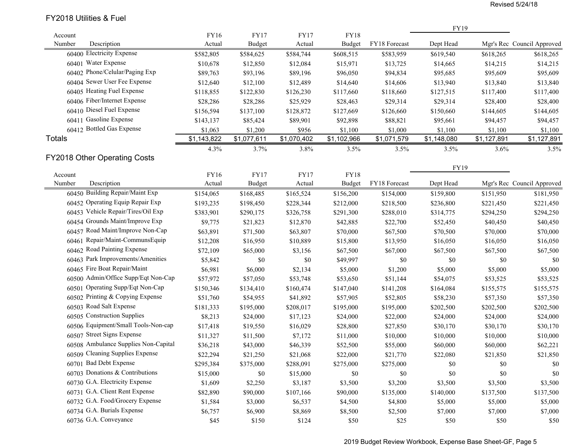## FY2018 Utilities & Fuel

|                   |                                      |                |                              |                       |                       |               | FY19        |             |                            |
|-------------------|--------------------------------------|----------------|------------------------------|-----------------------|-----------------------|---------------|-------------|-------------|----------------------------|
| Account           |                                      | FY16           | FY17                         | FY17                  | <b>FY18</b>           |               |             |             |                            |
| Number            | Description                          | Actual         | Budget                       | Actual                | <b>Budget</b>         | FY18 Forecast | Dept Head   |             | Mgr's Rec Council Approved |
|                   | 60400 Electricity Expense            | \$582,805      | \$584,625                    | \$584,744             | \$608,515             | \$583,959     | \$619,540   | \$618,265   | \$618,265                  |
|                   | 60401 Water Expense                  | \$10,678       | \$12,850                     | \$12,084              | \$15,971              | \$13,725      | \$14,665    | \$14,215    | \$14,215                   |
|                   | 60402 Phone/Celular/Paging Exp       | \$89,763       | \$93,196                     | \$89,196              | \$96,050              | \$94,834      | \$95,685    | \$95,609    | \$95,609                   |
|                   | 60404 Sewer User Fee Expense         | \$12,640       | \$12,100                     | \$12,489              | \$14,640              | \$14,606      | \$13,940    | \$13,840    | \$13,840                   |
|                   | 60405 Heating Fuel Expense           | \$118,855      | \$122,830                    | \$126,230             | \$117,660             | \$118,660     | \$127,515   | \$117,400   | \$117,400                  |
|                   | 60406 Fiber/Internet Expense         | \$28,286       | \$28,286                     | \$25,929              | \$28,463              | \$29,314      | \$29,314    | \$28,400    | \$28,400                   |
|                   | 60410 Diesel Fuel Expense            | \$156,594      | \$137,100                    | \$128,872             | \$127,669             | \$126,660     | \$150,660   | \$144,605   | \$144,605                  |
|                   | 60411 Gasoline Expense               | \$143,137      | \$85,424                     | \$89,901              | \$92,898              | \$88,821      | \$95,661    | \$94,457    | \$94,457                   |
|                   | 60412 Bottled Gas Expense            | \$1,063        | \$1,200                      | \$956                 | \$1,100               | \$1,000       | \$1,100     | \$1,100     | \$1,100                    |
| <b>Totals</b>     |                                      | \$1,143,822    | \$1,077,611                  | \$1,070,402           | \$1,102,966           | \$1,071,579   | \$1,148,080 | \$1,127,891 | \$1,127,891                |
|                   |                                      | 4.3%           | 3.7%                         | 3.8%                  | 3.5%                  | 3.5%          | 3.5%        | 3.6%        | 3.5%                       |
|                   | FY2018 Other Operating Costs         |                |                              |                       |                       |               |             |             |                            |
|                   |                                      |                |                              |                       |                       |               | FY19        |             |                            |
| Account<br>Number | Description                          | FY16<br>Actual | <b>FY17</b><br><b>Budget</b> | <b>FY17</b><br>Actual | <b>FY18</b><br>Budget | FY18 Forecast | Dept Head   |             | Mgr's Rec Council Approved |
| 60450             | Building Repair/Maint Exp            | \$154,065      | \$168,485                    | \$165,524             | \$156,200             | \$154,000     | \$159,800   | \$151,950   | \$181,950                  |
|                   | 60452 Operating Equip Repair Exp     |                |                              |                       |                       |               |             |             |                            |
|                   | 60453 Vehicle Repair/Tires/Oil Exp   | \$193,235      | \$198,450                    | \$228,344             | \$212,000             | \$218,500     | \$236,800   | \$221,450   | \$221,450                  |
|                   | 60454 Grounds Maint/Improve Exp      | \$383,901      | \$290,175                    | \$326,758             | \$291,300             | \$288,010     | \$314,775   | \$294,250   | \$294,250                  |
|                   | 60457 Road Maint/Improve Non-Cap     | \$9,775        | \$21,823                     | \$12,870              | \$42,885              | \$22,700      | \$52,450    | \$40,450    | \$40,450                   |
|                   | 60461 Repair/Maint-CommunsEquip      | \$63,891       | \$71,500                     | \$63,807              | \$70,000              | \$67,500      | \$70,500    | \$70,000    | \$70,000                   |
|                   | 60462 Road Painting Expense          | \$12,208       | \$16,950                     | \$10,889              | \$15,800              | \$13,950      | \$16,050    | \$16,050    | \$16,050                   |
|                   | 60463 Park Improvements/Amenities    | \$72,109       | \$65,000                     | \$3,156               | \$67,500              | \$67,000      | \$67,500    | \$67,500    | \$67,500                   |
|                   | 60465 Fire Boat Repair/Maint         | \$5,842        | \$0                          | \$0                   | \$49,997              | $\$0$         | $\$0$       | $\$0$       | \$0                        |
|                   |                                      | \$6,981        | \$6,000                      | \$2,134               | \$5,000               | \$1,200       | \$5,000     | \$5,000     | \$5,000                    |
|                   | 60500 Admin/Office Supp/Eqt Non-Cap  | \$57,972       | \$57,050                     | \$53,748              | \$53,650              | \$51,144      | \$54,075    | \$53,525    | \$53,525                   |
| 60501             | Operating Supp/Eqt Non-Cap           | \$150,346      | \$134,410                    | \$160,474             | \$147,040             | \$141,208     | \$164,084   | \$155,575   | \$155,575                  |
|                   | 60502 Printing & Copying Expense     | \$51,760       | \$54,955                     | \$41,892              | \$57,905              | \$52,805      | \$58,230    | \$57,350    | \$57,350                   |
|                   | 60503 Road Salt Expense              | \$181,333      | \$195,000                    | \$208,017             | \$195,000             | \$195,000     | \$202,500   | \$202,500   | \$202,500                  |
|                   | 60505 Construction Supplies          | \$8,213        | \$24,000                     | \$17,123              | \$24,000              | \$22,000      | \$24,000    | \$24,000    | \$24,000                   |
|                   | 60506 Equipment/Small Tools-Non-cap  | \$17,418       | \$19,550                     | \$16,029              | \$28,800              | \$27,850      | \$30,170    | \$30,170    | \$30,170                   |
|                   | 60507 Street Signs Expense           | \$11,327       | \$11,500                     | \$7,172               | \$11,000              | \$10,000      | \$10,000    | \$10,000    | \$10,000                   |
|                   | 60508 Ambulance Supplies Non-Capital | \$36,218       | \$43,000                     | \$46,339              | \$52,500              | \$55,000      | \$60,000    | \$60,000    | \$62,221                   |
|                   | 60509 Cleaning Supplies Expense      | \$22,294       | \$21,250                     | \$21,068              | \$22,000              | \$21,770      | \$22,080    | \$21,850    | \$21,850                   |
|                   | 60701 Bad Debt Expense               | \$295,384      | \$375,000                    | \$288,091             | \$275,000             | \$275,000     | \$0         | $\$0$       | \$0                        |
|                   | 60703 Donations & Contributions      | \$15,000       | $\$0$                        | \$15,000              | $\$0$                 | $\$0$         | \$0         | $\$0$       | \$0                        |
|                   | 60730 G.A. Electricity Expense       | \$1,609        | \$2,250                      | \$3,187               | \$3,500               | \$3,200       | \$3,500     | \$3,500     | \$3,500                    |
|                   | 60731 G.A. Client Rent Expense       | \$82,890       | \$90,000                     | \$107,166             | \$90,000              | \$135,000     | \$140,000   | \$137,500   | \$137,500                  |
|                   | 60732 G.A. Food/Grocery Expense      | \$1,584        | \$3,000                      | \$6,537               | \$4,500               | \$4,800       | \$5,000     | \$5,000     | \$5,000                    |
|                   | 60734 G.A. Burials Expense           | \$6,757        | \$6,900                      | \$8,869               | \$8,500               | \$2,500       | \$7,000     | \$7,000     | \$7,000                    |
|                   | 60736 G.A. Conveyance                | \$45           | \$150                        | \$124                 | \$50                  | \$25          | \$50        | \$50        | \$50                       |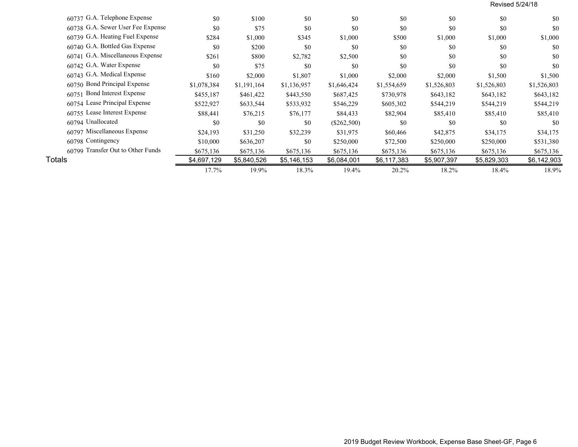| 60737 G.A. Telephone Expense      | \$0         | \$100       | \$0         | \$0           | \$0         | \$0         | \$0         | \$0         |
|-----------------------------------|-------------|-------------|-------------|---------------|-------------|-------------|-------------|-------------|
| 60738 G.A. Sewer User Fee Expense | \$0         | \$75        | \$0         | \$0           | \$0         | \$0         | \$0         | \$0         |
| 60739 G.A. Heating Fuel Expense   | \$284       | \$1,000     | \$345       | \$1,000       | \$500       | \$1,000     | \$1,000     | \$1,000     |
| 60740 G.A. Bottled Gas Expense    | \$0         | \$200       | \$0         | \$0           | \$0         | \$0         | \$0         | \$0         |
| 60741 G.A. Miscellaneous Expense  | \$261       | \$800       | \$2,782     | \$2,500       | \$0         | \$0         | \$0         | \$0         |
| 60742 G.A. Water Expense          | \$0         | \$75        | \$0         | \$0           | \$0         | \$0         | \$0         | \$0         |
| 60743 G.A. Medical Expense        | \$160       | \$2,000     | \$1,807     | \$1,000       | \$2,000     | \$2,000     | \$1,500     | \$1,500     |
| 60750 Bond Principal Expense      | \$1,078,384 | \$1,191,164 | \$1,136,957 | \$1,646,424   | \$1,554,659 | \$1,526,803 | \$1,526,803 | \$1,526,803 |
| 60751 Bond Interest Expense       | \$455,187   | \$461,422   | \$443,550   | \$687,425     | \$730,978   | \$643,182   | \$643,182   | \$643,182   |
| 60754 Lease Principal Expense     | \$522,927   | \$633,544   | \$533,932   | \$546,229     | \$605,302   | \$544,219   | \$544,219   | \$544,219   |
| 60755 Lease Interest Expense      | \$88,441    | \$76,215    | \$76,177    | \$84,433      | \$82,904    | \$85,410    | \$85,410    | \$85,410    |
| 60794 Unallocated                 | \$0         | \$0         | \$0         | $(\$262,500)$ | \$0         | \$0         | \$0         | \$0         |
| 60797 Miscellaneous Expense       | \$24,193    | \$31,250    | \$32,239    | \$31,975      | \$60,466    | \$42,875    | \$34,175    | \$34,175    |
| 60798 Contingency                 | \$10,000    | \$636,207   | \$0         | \$250,000     | \$72,500    | \$250,000   | \$250,000   | \$531,380   |
| 60799 Transfer Out to Other Funds | \$675,136   | \$675,136   | \$675,136   | \$675,136     | \$675,136   | \$675,136   | \$675,136   | \$675,136   |
| <b>Totals</b>                     | \$4,697,129 | \$5,840,526 | \$5,146,153 | \$6,084,001   | \$6,117,383 | \$5,907,397 | \$5,829,303 | \$6,142,903 |
|                                   | 17.7%       | 19.9%       | 18.3%       | 19.4%         | 20.2%       | 18.2%       | 18.4%       | 18.9%       |

Revised 5/24/18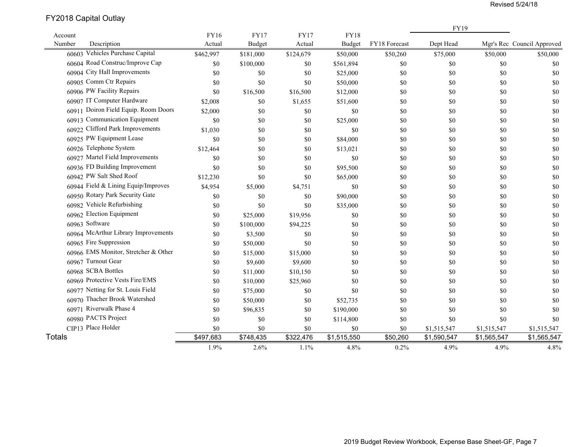# FY2018 Capital Outlay

|                   |                                      |                |                       |                       |                              |               | FY19        |             |                            |
|-------------------|--------------------------------------|----------------|-----------------------|-----------------------|------------------------------|---------------|-------------|-------------|----------------------------|
| Account<br>Number | Description                          | FY16<br>Actual | <b>FY17</b><br>Budget | <b>FY17</b><br>Actual | <b>FY18</b><br><b>Budget</b> | FY18 Forecast | Dept Head   |             | Mgr's Rec Council Approved |
|                   | 60603 Vehicles Purchase Capital      | \$462,997      | \$181,000             | \$124,679             | \$50,000                     | \$50,260      | \$75,000    | \$50,000    | \$50,000                   |
|                   | 60604 Road Construc/Improve Cap      | \$0            | \$100,000             | \$0                   | \$561,894                    | \$0           | \$0         | \$0         | \$0                        |
|                   | 60904 City Hall Improvements         | \$0            | \$0                   | \$0                   | \$25,000                     | \$0           | \$0         | \$0         | \$0                        |
|                   | 60905 Comm Ctr Repairs               | \$0            | \$0                   | \$0                   | \$50,000                     | \$0           | \$0         | \$0         | \$0                        |
|                   | 60906 PW Facility Repairs            | \$0            | \$16,500              | \$16,500              | \$12,000                     | \$0           | \$0         | \$0         | \$0                        |
|                   | 60907 IT Computer Hardware           | \$2,008        | \$0                   | \$1,655               | \$51,600                     | \$0           | \$0         | \$0         | \$0                        |
|                   | 60911 Doiron Field Equip. Room Doors | \$2,000        | \$0                   | \$0                   | \$0                          | \$0           | \$0         | \$0         | \$0                        |
|                   | 60913 Communication Equipment        | \$0            | \$0                   | \$0                   | \$25,000                     | \$0           | \$0         | \$0         | \$0                        |
|                   | 60922 Clifford Park Improvements     | \$1,030        | \$0                   | \$0                   | \$0                          | \$0           | \$0         | \$0         | \$0                        |
|                   | 60925 PW Equipment Lease             | \$0            | \$0                   | \$0                   | \$84,000                     | \$0           | \$0         | \$0         | \$0                        |
|                   | 60926 Telephone System               | \$12,464       | \$0                   | \$0                   | \$13,021                     | \$0           | \$0         | \$0         | \$0                        |
|                   | 60927 Martel Field Improvements      | \$0            | \$0                   | \$0                   | \$0                          | \$0           | \$0         | \$0         | \$0                        |
|                   | 60936 FD Building Improvement        | \$0            | \$0                   | \$0                   | \$95,500                     | \$0           | \$0         | \$0         | \$0                        |
|                   | 60942 PW Salt Shed Roof              | \$12,230       | \$0                   | \$0                   | \$65,000                     | \$0           | \$0         | \$0         | \$0                        |
|                   | 60944 Field & Lining Equip/Improves  | \$4,954        | \$5,000               | \$4,751               | \$0                          | \$0           | \$0         | \$0         | \$0                        |
|                   | 60950 Rotary Park Security Gate      | \$0            | \$0                   | \$0                   | \$90,000                     | \$0           | \$0         | \$0         | \$0                        |
|                   | 60982 Vehicle Refurbishing           | \$0            | \$0                   | \$0                   | \$35,000                     | \$0           | \$0         | \$0         | \$0                        |
|                   | 60962 Election Equipment             | \$0            | \$25,000              | \$19,956              | \$0                          | \$0           | \$0         | \$0         | \$0                        |
|                   | 60963 Software                       | \$0            | \$100,000             | \$94,225              | \$0                          | \$0           | \$0         | \$0         | \$0                        |
|                   | 60964 McArthur Library Improvements  | \$0            | \$3,500               | \$0                   | \$0                          | \$0           | \$0         | \$0         | \$0                        |
|                   | 60965 Fire Suppression               | \$0            | \$50,000              | \$0                   | \$0                          | \$0           | \$0         | \$0         | \$0                        |
|                   | 60966 EMS Monitor, Stretcher & Other | \$0            | \$15,000              | \$15,000              | \$0                          | \$0           | \$0         | \$0         | \$0                        |
|                   | 60967 Turnout Gear                   | \$0            | \$9,600               | \$9,600               | \$0                          | \$0           | \$0         | \$0         | \$0                        |
|                   | 60968 SCBA Bottles                   | \$0            | \$11,000              | \$10,150              | \$0                          | \$0           | \$0         | \$0         | \$0                        |
|                   | 60969 Protective Vests Fire/EMS      | \$0            | \$10,000              | \$25,960              | \$0                          | \$0           | \$0         | \$0         | \$0                        |
|                   | 60977 Netting for St. Louis Field    | \$0            | \$75,000              | \$0                   | \$0                          | \$0           | \$0         | \$0         | \$0                        |
|                   | 60970 Thacher Brook Watershed        | \$0            | \$50,000              | \$0                   | \$52,735                     | \$0           | \$0         | \$0         | \$0                        |
|                   | 60971 Riverwalk Phase 4              | \$0            | \$96,835              | \$0                   | \$190,000                    | \$0           | \$0         | \$0         | \$0                        |
|                   | 60980 PACTS Project                  | \$0            | \$0                   | \$0                   | \$114,800                    | \$0           | \$0         | \$0         | \$0                        |
|                   | CIP13 Place Holder                   | \$0            | \$0                   | \$0                   | \$0                          | \$0           | \$1,515,547 | \$1,515,547 | \$1,515,547                |
| Totals            |                                      | \$497,683      | \$748,435             | \$322,476             | \$1,515,550                  | \$50,260      | \$1,590,547 | \$1,565,547 | \$1,565,547                |
|                   |                                      | 1.9%           | 2.6%                  | 1.1%                  | 4.8%                         | 0.2%          | 4.9%        | 4.9%        | 4.8%                       |